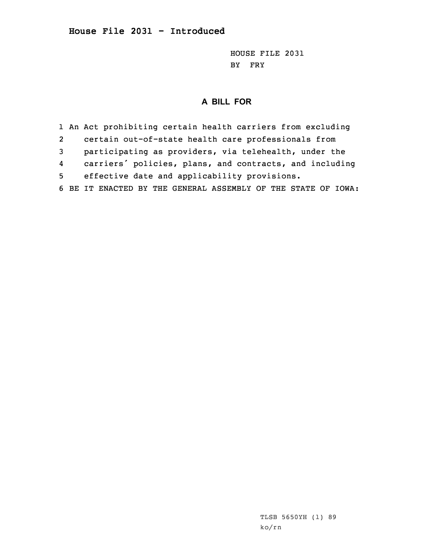HOUSE FILE 2031 BY FRY

## **A BILL FOR**

1 An Act prohibiting certain health carriers from excluding 2 certain out-of-state health care professionals from 3 participating as providers, via telehealth, under the 4 carriers' policies, plans, and contracts, and including 5 effective date and applicability provisions. 6 BE IT ENACTED BY THE GENERAL ASSEMBLY OF THE STATE OF IOWA: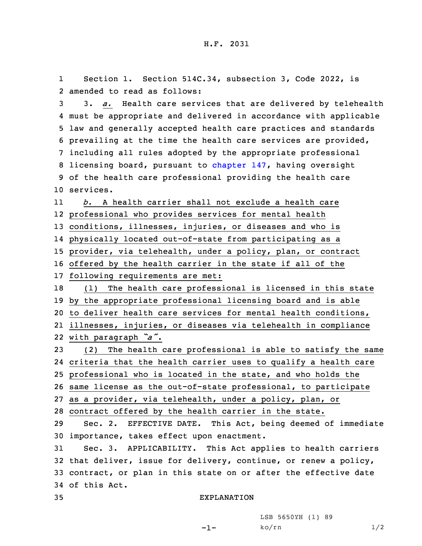1 Section 1. Section 514C.34, subsection 3, Code 2022, is 2 amended to read as follows:

 3. *a.* Health care services that are delivered by telehealth must be appropriate and delivered in accordance with applicable law and generally accepted health care practices and standards prevailing at the time the health care services are provided, including all rules adopted by the appropriate professional licensing board, pursuant to [chapter](https://www.legis.iowa.gov/docs/code/2022/147.pdf) 147, having oversight of the health care professional providing the health care services.

11 *b.* A health carrier shall not exclude <sup>a</sup> health care professional who provides services for mental health conditions, illnesses, injuries, or diseases and who is physically located out-of-state from participating as <sup>a</sup> provider, via telehealth, under <sup>a</sup> policy, plan, or contract

16 offered by the health carrier in the state if all of the

17 following requirements are met:

 (1) The health care professional is licensed in this state by the appropriate professional licensing board and is able to deliver health care services for mental health conditions, illnesses, injuries, or diseases via telehealth in compliance

22 with paragraph *"a"*.

 (2) The health care professional is able to satisfy the same criteria that the health carrier uses to qualify <sup>a</sup> health care professional who is located in the state, and who holds the same license as the out-of-state professional, to participate

27 as <sup>a</sup> provider, via telehealth, under <sup>a</sup> policy, plan, or

28 contract offered by the health carrier in the state.

29 Sec. 2. EFFECTIVE DATE. This Act, being deemed of immediate 30 importance, takes effect upon enactment.

 Sec. 3. APPLICABILITY. This Act applies to health carriers that deliver, issue for delivery, continue, or renew <sup>a</sup> policy, contract, or plan in this state on or after the effective date of this Act.

-1-

35 EXPLANATION

LSB 5650YH (1) 89  $ko/rn$  1/2